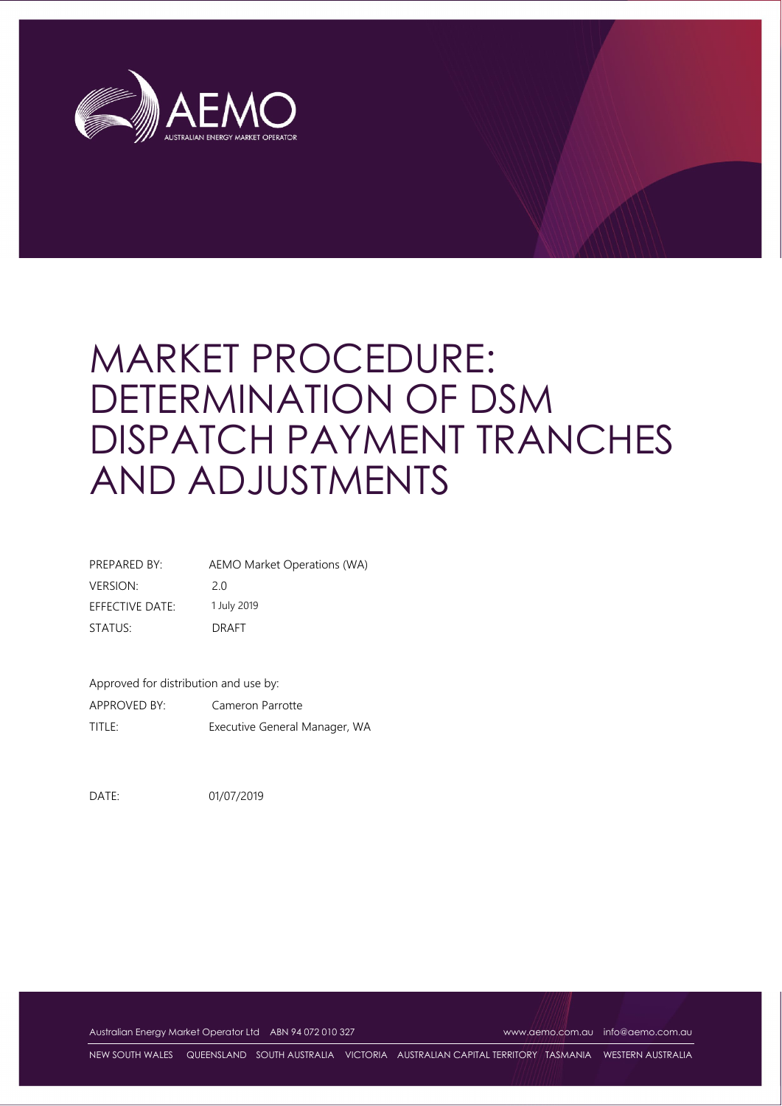

# MARKET PROCEDURE: DETERMINATION OF DSM DISPATCH PAYMENT TRANCHES AND ADJUSTMENTS

| PREPARED BY:    | AEMO Market Operations (WA) |
|-----------------|-----------------------------|
| <b>VERSION:</b> | 20                          |
| EFFECTIVE DATE: | 1 July 2019                 |
| STATUS:         | DRAFT                       |

Approved for distribution and use by:

APPROVED BY: Cameron Parrotte TITLE: Executive General Manager, WA

DATE: 01/07/2019

Australian Energy Market Operator Ltd ABN 94 072 010 327 [www.aemo.com.au](http://www.aemo.com.au/) [info@aemo.com.au](mailto:info@aemo.com.au)

NEW SOUTH WALES QUEENSLAND SOUTH AUSTRALIA VICTORIA AUSTRALIAN CAPITAL TERRITORY TASMANIA WESTERN AUSTRALIA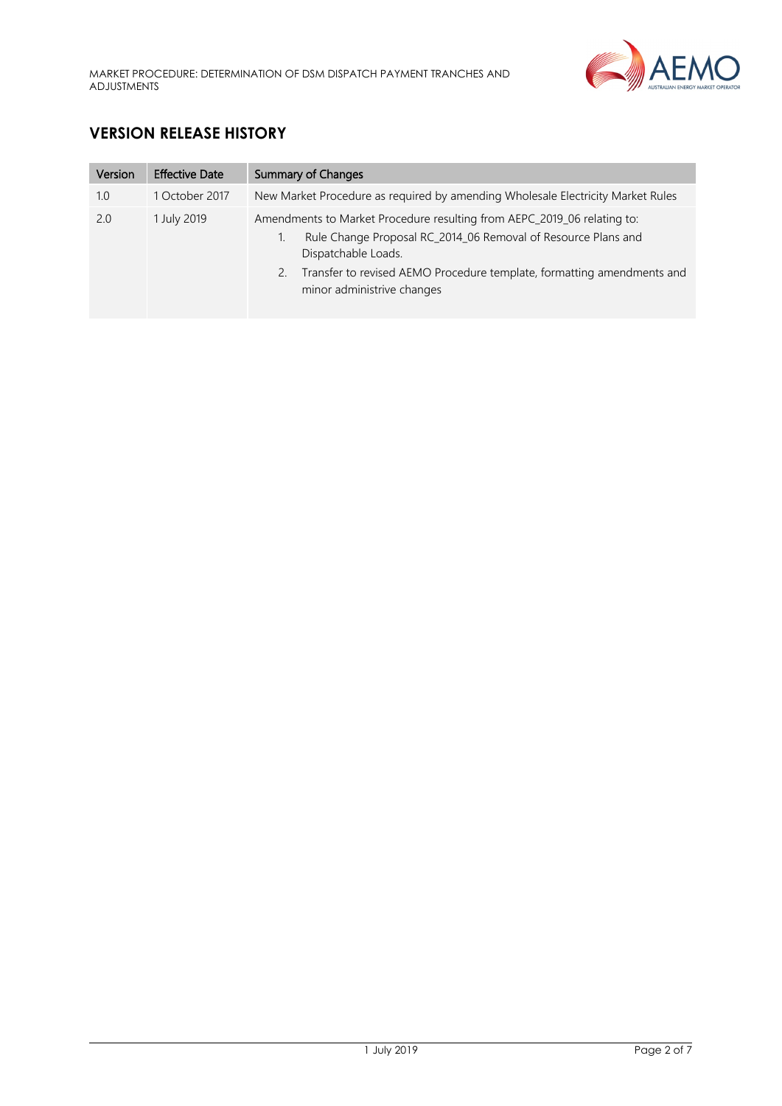

# **VERSION RELEASE HISTORY**

| Version | <b>Effective Date</b> | Summary of Changes                                                                                                                                                                                                                                                            |
|---------|-----------------------|-------------------------------------------------------------------------------------------------------------------------------------------------------------------------------------------------------------------------------------------------------------------------------|
| 1.0     | 1 October 2017        | New Market Procedure as required by amending Wholesale Electricity Market Rules                                                                                                                                                                                               |
| 2.0     | 1 July 2019           | Amendments to Market Procedure resulting from AEPC_2019_06 relating to:<br>Rule Change Proposal RC_2014_06 Removal of Resource Plans and<br>Dispatchable Loads.<br>Transfer to revised AEMO Procedure template, formatting amendments and<br>2.<br>minor administrive changes |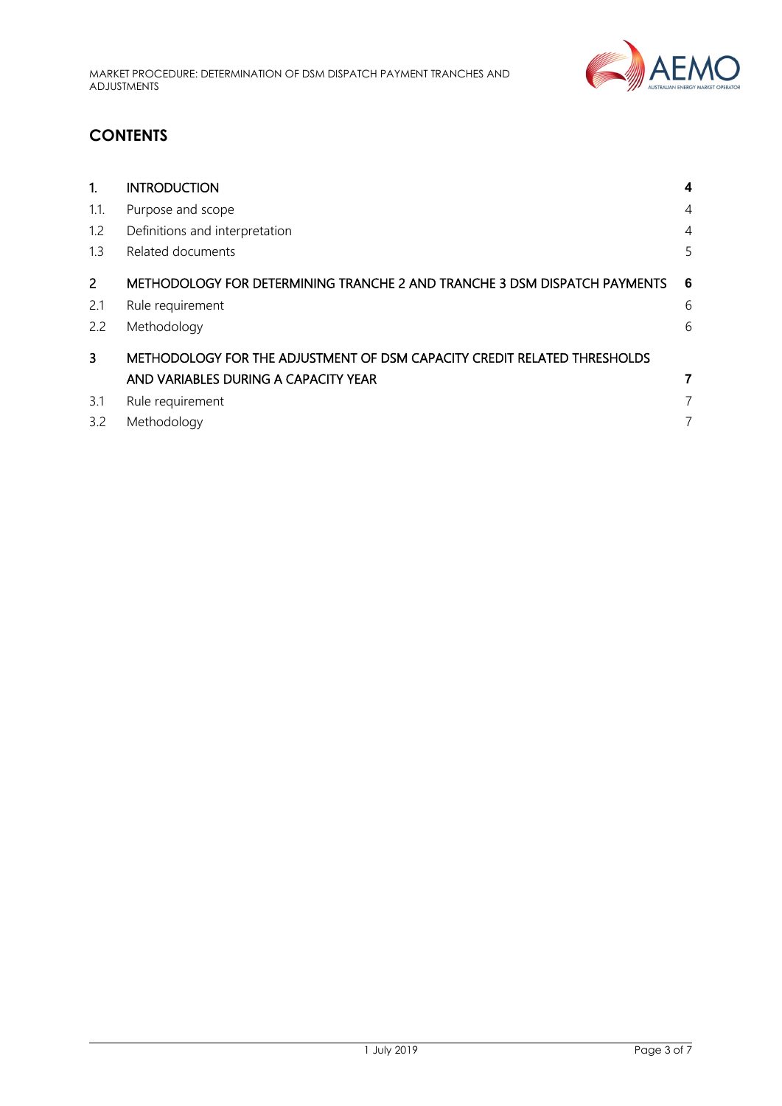

# **CONTENTS**

<span id="page-2-0"></span>

| 1.             | <b>INTRODUCTION</b>                                                       | 4              |
|----------------|---------------------------------------------------------------------------|----------------|
| 1.1.           | Purpose and scope                                                         | $\overline{4}$ |
| 1.2            | Definitions and interpretation                                            | $\overline{4}$ |
| 1.3            | Related documents                                                         | 5              |
| $\overline{2}$ | METHODOLOGY FOR DETERMINING TRANCHE 2 AND TRANCHE 3 DSM DISPATCH PAYMENTS | 6              |
| 2.1            | Rule requirement                                                          | 6              |
| 2.2            | Methodology                                                               | 6              |
| 3              | METHODOLOGY FOR THE ADJUSTMENT OF DSM CAPACITY CREDIT RELATED THRESHOLDS  |                |
|                | AND VARIABLES DURING A CAPACITY YEAR                                      | 7              |
| 3.1            | Rule requirement                                                          | 7              |
| 3.2            | Methodology                                                               |                |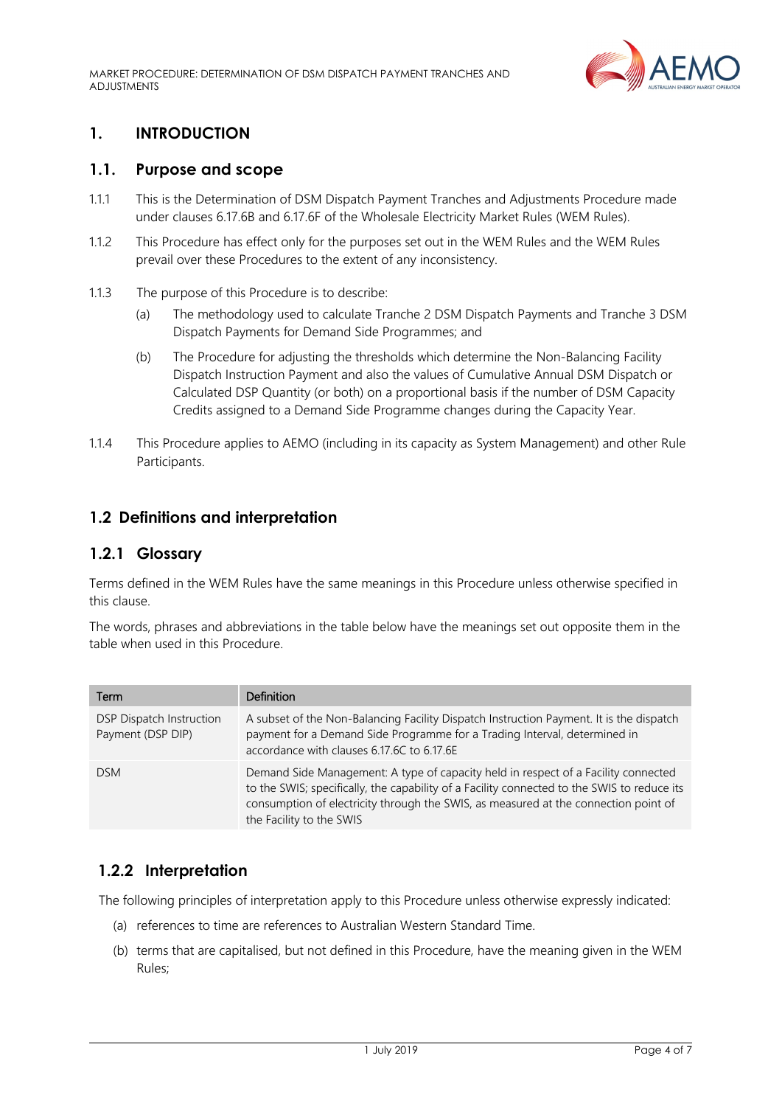MARKET PROCEDURE: DETERMINATION OF DSM DISPATCH PAYMENT TRANCHES AND ADJUSTMENTS



### **1. INTRODUCTION**

#### <span id="page-3-0"></span>**1.1. Purpose and scope**

- 1.1.1 This is the Determination of DSM Dispatch Payment Tranches and Adjustments Procedure made under clauses 6.17.6B and 6.17.6F of the Wholesale Electricity Market Rules (WEM Rules).
- 1.1.2 This Procedure has effect only for the purposes set out in the WEM Rules and the WEM Rules prevail over these Procedures to the extent of any inconsistency.
- 1.1.3 The purpose of this Procedure is to describe:
	- (a) The methodology used to calculate Tranche 2 DSM Dispatch Payments and Tranche 3 DSM Dispatch Payments for Demand Side Programmes; and
	- (b) The Procedure for adjusting the thresholds which determine the Non-Balancing Facility Dispatch Instruction Payment and also the values of Cumulative Annual DSM Dispatch or Calculated DSP Quantity (or both) on a proportional basis if the number of DSM Capacity Credits assigned to a Demand Side Programme changes during the Capacity Year.
- 1.1.4 This Procedure applies to AEMO (including in its capacity as System Management) and other Rule Participants.

#### <span id="page-3-1"></span>**1.2 Definitions and interpretation**

#### **1.2.1 Glossary**

Terms defined in the WEM Rules have the same meanings in this Procedure unless otherwise specified in this clause.

The words, phrases and abbreviations in the table below have the meanings set out opposite them in the table when used in this Procedure.

| Term                                          | <b>Definition</b>                                                                                                                                                                                                                                                                                    |
|-----------------------------------------------|------------------------------------------------------------------------------------------------------------------------------------------------------------------------------------------------------------------------------------------------------------------------------------------------------|
| DSP Dispatch Instruction<br>Payment (DSP DIP) | A subset of the Non-Balancing Facility Dispatch Instruction Payment. It is the dispatch<br>payment for a Demand Side Programme for a Trading Interval, determined in<br>accordance with clauses 6.17.6C to 6.17.6E                                                                                   |
| <b>DSM</b>                                    | Demand Side Management: A type of capacity held in respect of a Facility connected<br>to the SWIS; specifically, the capability of a Facility connected to the SWIS to reduce its<br>consumption of electricity through the SWIS, as measured at the connection point of<br>the Facility to the SWIS |

#### **1.2.2 Interpretation**

The following principles of interpretation apply to this Procedure unless otherwise expressly indicated:

- (a) references to time are references to Australian Western Standard Time.
- (b) terms that are capitalised, but not defined in this Procedure, have the meaning given in the WEM Rules;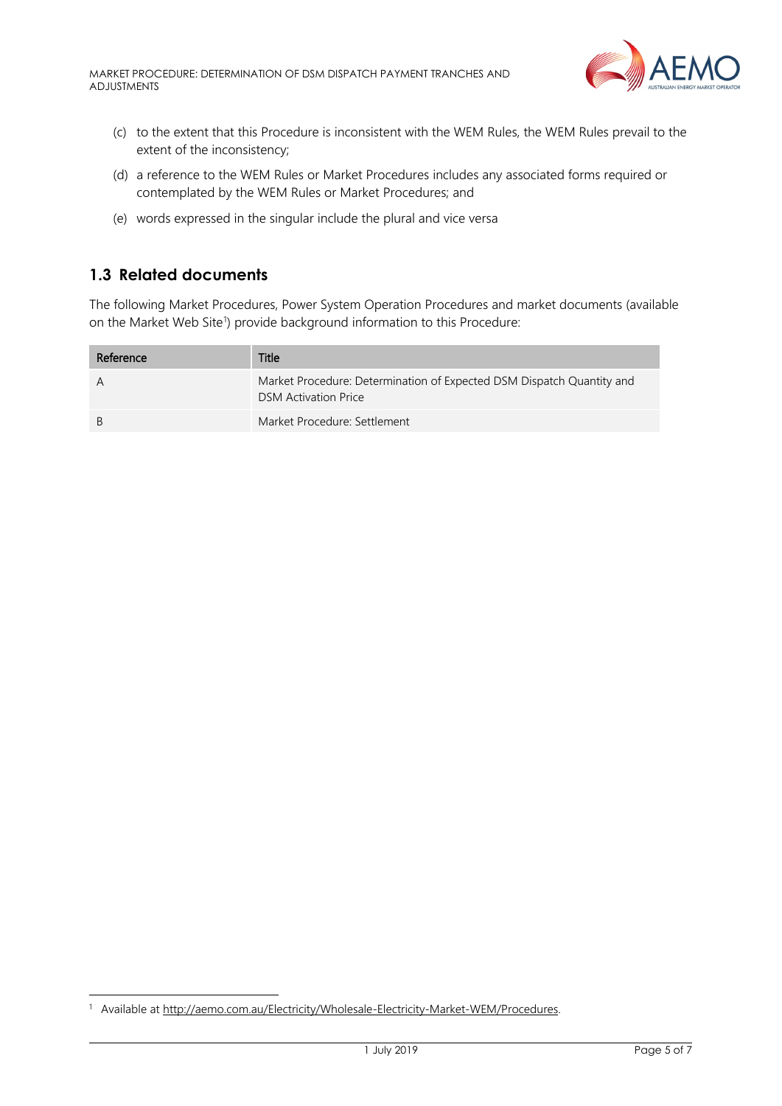MARKET PROCEDURE: DETERMINATION OF DSM DISPATCH PAYMENT TRANCHES AND ADJUSTMENTS



- (c) to the extent that this Procedure is inconsistent with the WEM Rules, the WEM Rules prevail to the extent of the inconsistency;
- (d) a reference to the WEM Rules or Market Procedures includes any associated forms required or contemplated by the WEM Rules or Market Procedures; and
- (e) words expressed in the singular include the plural and vice versa

## <span id="page-4-0"></span>**1.3 Related documents**

The following Market Procedures, Power System Operation Procedures and market documents (available on the Market Web Site<sup>[1](#page-4-1)</sup>) provide background information to this Procedure:

| Reference    | Title                                                                                                |
|--------------|------------------------------------------------------------------------------------------------------|
| A            | Market Procedure: Determination of Expected DSM Dispatch Quantity and<br><b>DSM</b> Activation Price |
| <sup>B</sup> | Market Procedure: Settlement                                                                         |

<span id="page-4-1"></span><sup>1</sup> Available at [http://aemo.com.au/Electricity/Wholesale-Electricity-Market-WEM/Procedures.](http://aemo.com.au/Electricity/Wholesale-Electricity-Market-WEM/Procedures)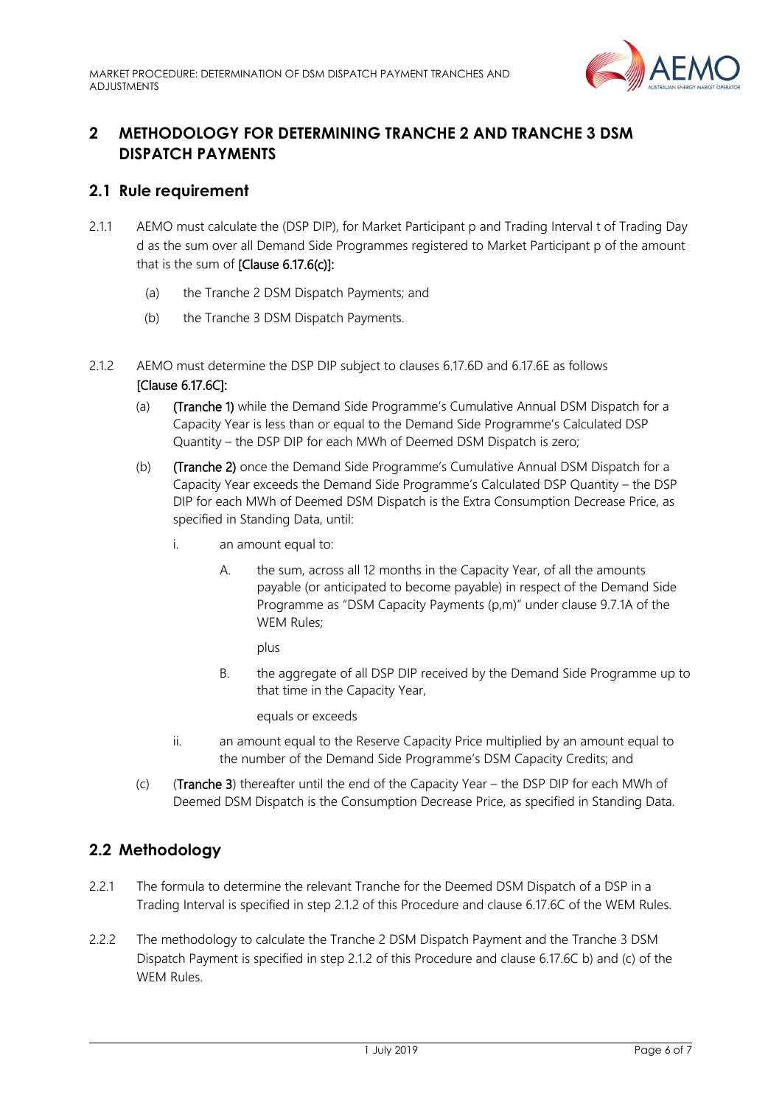

# <span id="page-5-0"></span>**2 METHODOLOGY FOR DETERMINING TRANCHE 2 AND TRANCHE 3 DSM DISPATCH PAYMENTS**

#### <span id="page-5-1"></span>**2.1 Rule requirement**

- 2.1.1 AEMO must calculate the (DSP DIP), for Market Participant p and Trading Interval t of Trading Day d as the sum over all Demand Side Programmes registered to Market Participant p of the amount that is the sum of  $[Clause 6.17.6(c)]$ :
	- (a) the Tranche 2 DSM Dispatch Payments; and
	- (b) the Tranche 3 DSM Dispatch Payments.
- <span id="page-5-5"></span><span id="page-5-3"></span>2.1.2 AEMO must determine the DSP DIP subject to clauses 6.17.6D and 6.17.6E as follows [Clause 6.17.6C]:
	- (a) (Tranche 1) while the Demand Side Programme's Cumulative Annual DSM Dispatch for a Capacity Year is less than or equal to the Demand Side Programme's Calculated DSP Quantity – the DSP DIP for each MWh of Deemed DSM Dispatch is zero;
	- (b) (Tranche 2) once the Demand Side Programme's Cumulative Annual DSM Dispatch for a Capacity Year exceeds the Demand Side Programme's Calculated DSP Quantity – the DSP DIP for each MWh of Deemed DSM Dispatch is the Extra Consumption Decrease Price, as specified in Standing Data, until:
		- i. an amount equal to:
			- A. the sum, across all 12 months in the Capacity Year, of all the amounts payable (or anticipated to become payable) in respect of the Demand Side Programme as "DSM Capacity Payments (p,m)" under clause 9.7.1A of the WEM Rules;

plus

B. the aggregate of all DSP DIP received by the Demand Side Programme up to that time in the Capacity Year,

equals or exceeds

- ii. an amount equal to the Reserve Capacity Price multiplied by an amount equal to the number of the Demand Side Programme's DSM Capacity Credits; and
- (c) (Tranche 3) thereafter until the end of the Capacity Year the DSP DIP for each MWh of Deemed DSM Dispatch is the Consumption Decrease Price, as specified in Standing Data.

# <span id="page-5-2"></span>**2.2 Methodology**

- <span id="page-5-4"></span>2.2.1 The formula to determine the relevant Tranche for the Deemed DSM Dispatch of a DSP in a Trading Interval is specified in step [2.1.2](#page-5-3) of this Procedure and clause 6.17.6C of the WEM Rules.
- 2.2.2 The methodology to calculate the Tranche 2 DSM Dispatch Payment and the Tranche 3 DSM Dispatch Payment is specified in step [2.1.2](#page-5-3) of this Procedure and clause 6.17.6C b) and (c) of the WEM Rules.